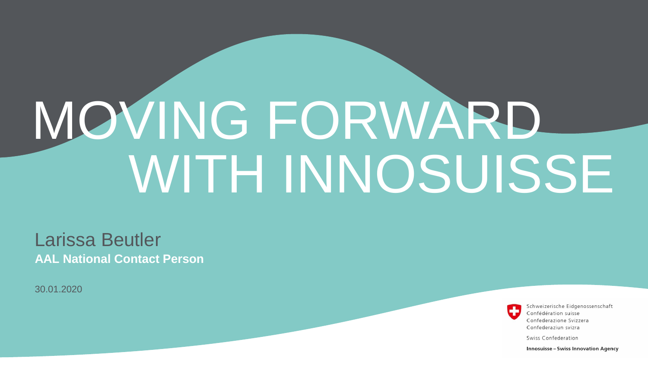# WITH INNOSUISSE MOVING FORWARD

#### Larissa Beutler **AAL National Contact Person**

30.01.2020

Schweizerische Eidgenossenschaft Confédération suisse Confederazione Svizzera Confederaziun svizra

Swiss Confederation

**Innosuisse - Swiss Innovation Agency**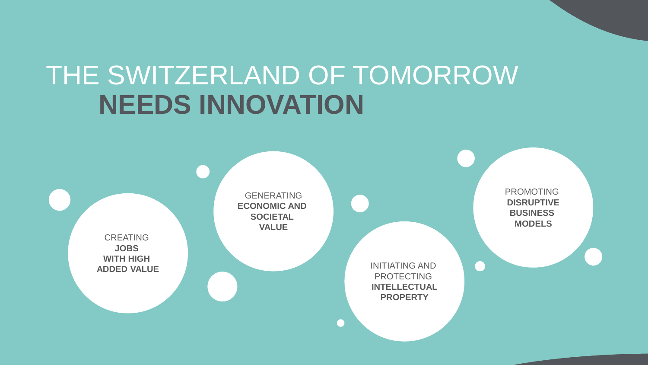## THE SWITZERLAND OF TOMORROW **NEEDS INNOVATION**

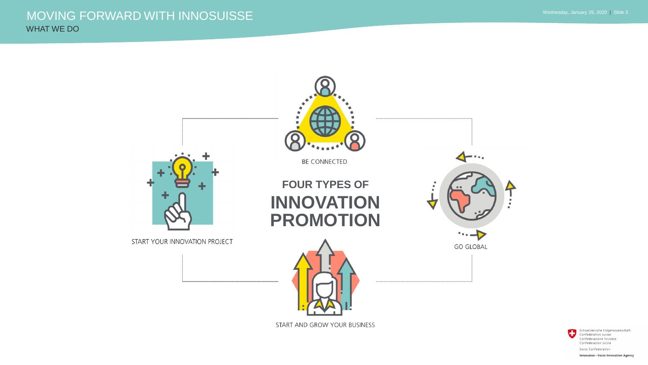#### WHAT WE DO MOVING FORWARD WITH INNOSUISSE

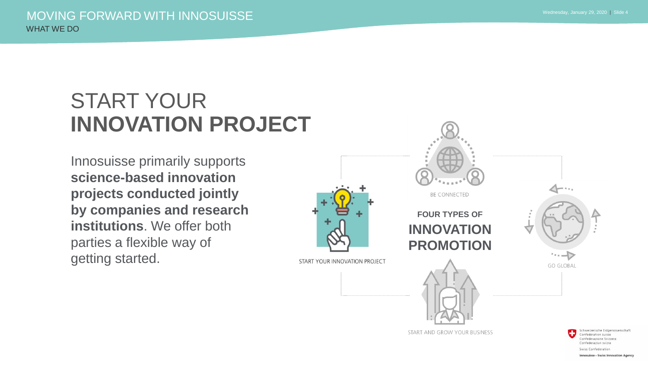### START YOUR **INNOVATION PROJECT**

Innosuisse primarily supports **science-based innovation projects conducted jointly by companies and research institutions**. We offer both parties a flexible way of getting started.



Confederazione Svizzera Confederaziun svizra Swiss Confederation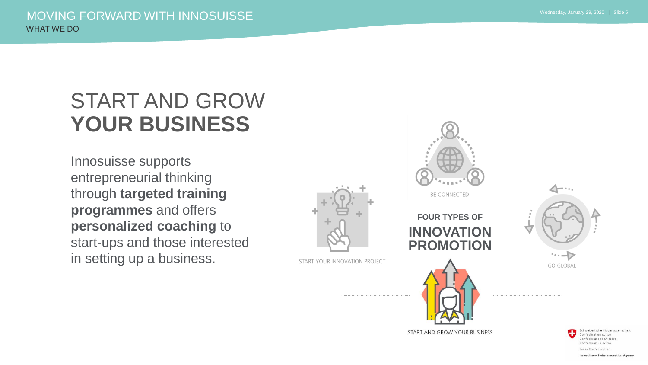### START AND GROW **YOUR BUSINESS**

Innosuisse supports entrepreneurial thinking through **targeted training programmes** and offers **personalized coaching** to start-ups and those interested in setting up a business.

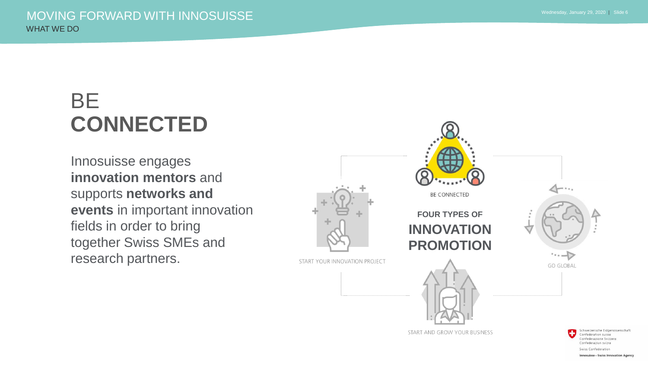## BE **CONNECTED**

Innosuisse engages **innovation mentors** and supports **networks and events** in important innovation fields in order to bring together Swiss SMEs and research partners.



Swiss Confederation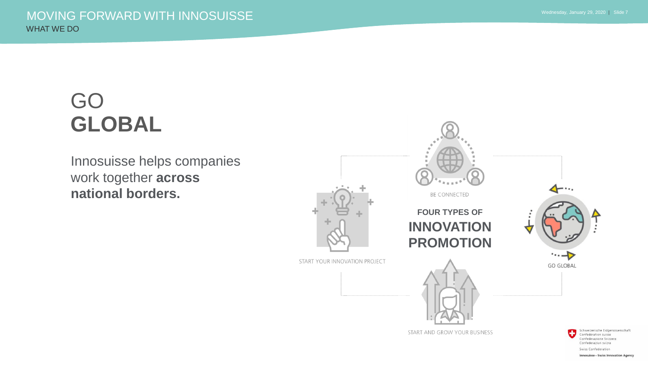## GO **GLOBAL**

Innosuisse helps companies work together **across national borders.**



**Innosuisse - Swiss Innovation Agency**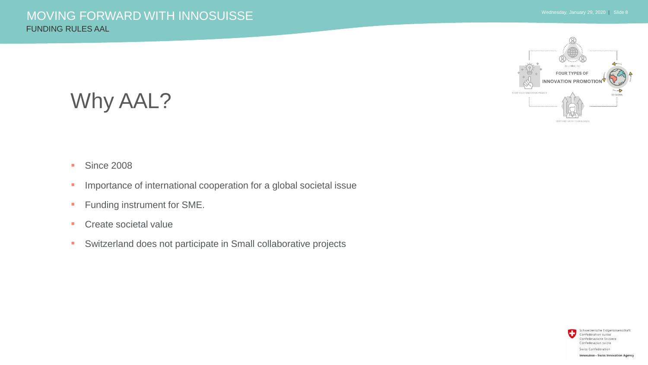#### Why AAL?

#### ■ Since 2008

- **·** Importance of international cooperation for a global societal issue
- **Funding instrument for SME.**
- **Create societal value**
- **EXECTE Switzerland does not participate in Small collaborative projects**

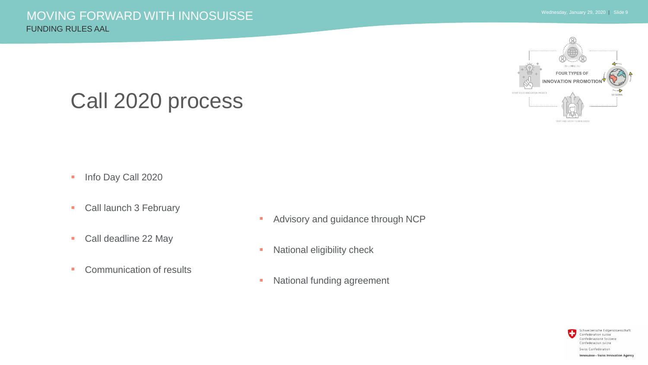#### Call 2020 process

- **·** Info Day Call 2020
- **Call launch 3 February**
- Call deadline 22 May
- Communication of results
- **EXECUTE:** Advisory and guidance through NCP
- **EXECUTE:** National eligibility check
- **EXECUTE:** National funding agreement

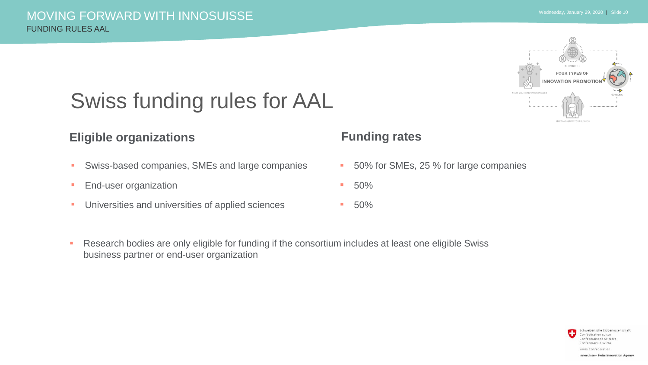

## Swiss funding rules for AAL

#### **Eligible organizations Funding rates**

- **EXEC** Swiss-based companies, SMEs and large companies
- **End-user organization**
- **■** Universities and universities of applied sciences

- 50% for SMEs, 25 % for large companies
- $-50\%$
- $-50%$
- **EXEPTERF Arisons 20 Arisons 20 Arisons 1** Research bodies are eligible Swiss business partner or end-user organization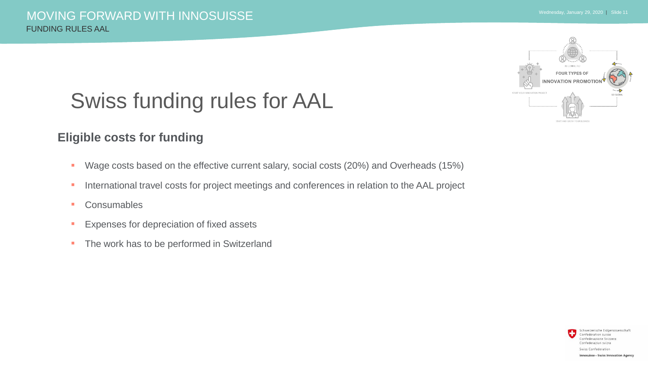## **FOUR TYPES OF JON PROMOT**

## Swiss funding rules for AAL

#### **Eligible costs for funding**

- Wage costs based on the effective current salary, social costs (20%) and Overheads (15%)
- **EXECT** International travel costs for project meetings and conferences in relation to the AAL project
- Consumables
- **Expenses for depreciation of fixed assets**
- **The work has to be performed in Switzerland**